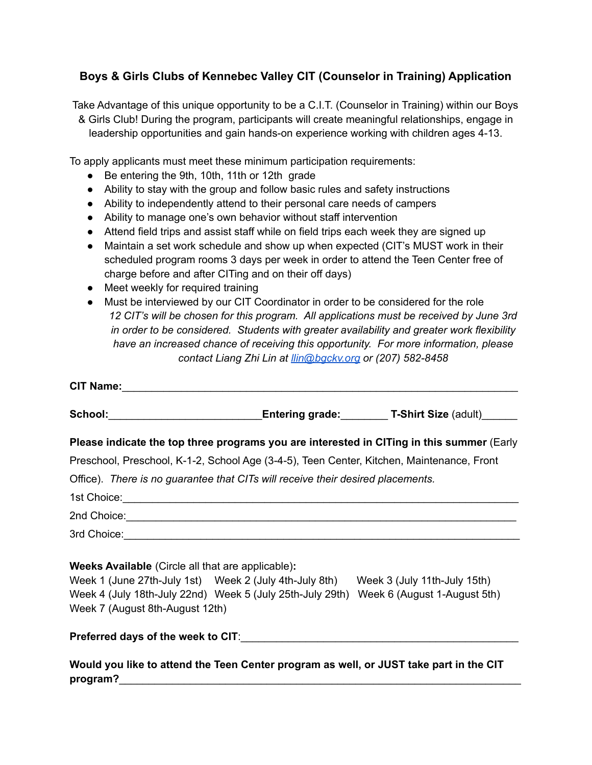## **Boys & Girls Clubs of Kennebec Valley CIT (Counselor in Training) Application**

Take Advantage of this unique opportunity to be a C.I.T. (Counselor in Training) within our Boys & Girls Club! During the program, participants will create meaningful relationships, engage in leadership opportunities and gain hands-on experience working with children ages 4-13.

To apply applicants must meet these minimum participation requirements:

- Be entering the 9th, 10th, 11th or 12th grade
- Ability to stay with the group and follow basic rules and safety instructions
- Ability to independently attend to their personal care needs of campers
- Ability to manage one's own behavior without staff intervention
- Attend field trips and assist staff while on field trips each week they are signed up
- Maintain a set work schedule and show up when expected (CIT's MUST work in their scheduled program rooms 3 days per week in order to attend the Teen Center free of charge before and after CITing and on their off days)
- Meet weekly for required training
- Must be interviewed by our CIT Coordinator in order to be considered for the role *12 CIT's will be chosen for this program. All applications must be received by June 3rd in order to be considered. Students with greater availability and greater work flexibility have an increased chance of receiving this opportunity. For more information, please contact Liang Zhi Lin at [llin@bgckv.org](mailto:llin@bgckv.org) or (207) 582-8458*

|                                                          |                                                                                     | School: Entering grade: T-Shirt Size (adult) ___________________________________                                                                                                                                                    |
|----------------------------------------------------------|-------------------------------------------------------------------------------------|-------------------------------------------------------------------------------------------------------------------------------------------------------------------------------------------------------------------------------------|
|                                                          |                                                                                     | Please indicate the top three programs you are interested in CITing in this summer (Early                                                                                                                                           |
|                                                          |                                                                                     | Preschool, Preschool, K-1-2, School Age (3-4-5), Teen Center, Kitchen, Maintenance, Front                                                                                                                                           |
|                                                          | Office). There is no guarantee that CITs will receive their desired placements.     |                                                                                                                                                                                                                                     |
|                                                          |                                                                                     |                                                                                                                                                                                                                                     |
|                                                          |                                                                                     | 2nd Choice: <u>Commission Choice</u> Choice Commission Choice Choice Choice Choice Choice Choice Choice Choice Choice Choice Choice Choice Choice Choice Choice Choice Choice Choice Choice Choice Choice Choice Choice Choice Choi |
|                                                          |                                                                                     |                                                                                                                                                                                                                                     |
| <b>Weeks Available</b> (Circle all that are applicable): |                                                                                     |                                                                                                                                                                                                                                     |
|                                                          | Week 1 (June 27th-July 1st) Week 2 (July 4th-July 8th) Week 3 (July 11th-July 15th) |                                                                                                                                                                                                                                     |
|                                                          |                                                                                     | Week 4 (July 18th-July 22nd) Week 5 (July 25th-July 29th) Week 6 (August 1-August 5th)                                                                                                                                              |
| Week 7 (August 8th-August 12th)                          |                                                                                     |                                                                                                                                                                                                                                     |
|                                                          |                                                                                     |                                                                                                                                                                                                                                     |
|                                                          |                                                                                     | Mould you like to attend the Teen Center program as well on ILIST take part in the CIT                                                                                                                                              |

**Would you like to attend the Teen Center program as well, or JUST take part in the CIT** program?